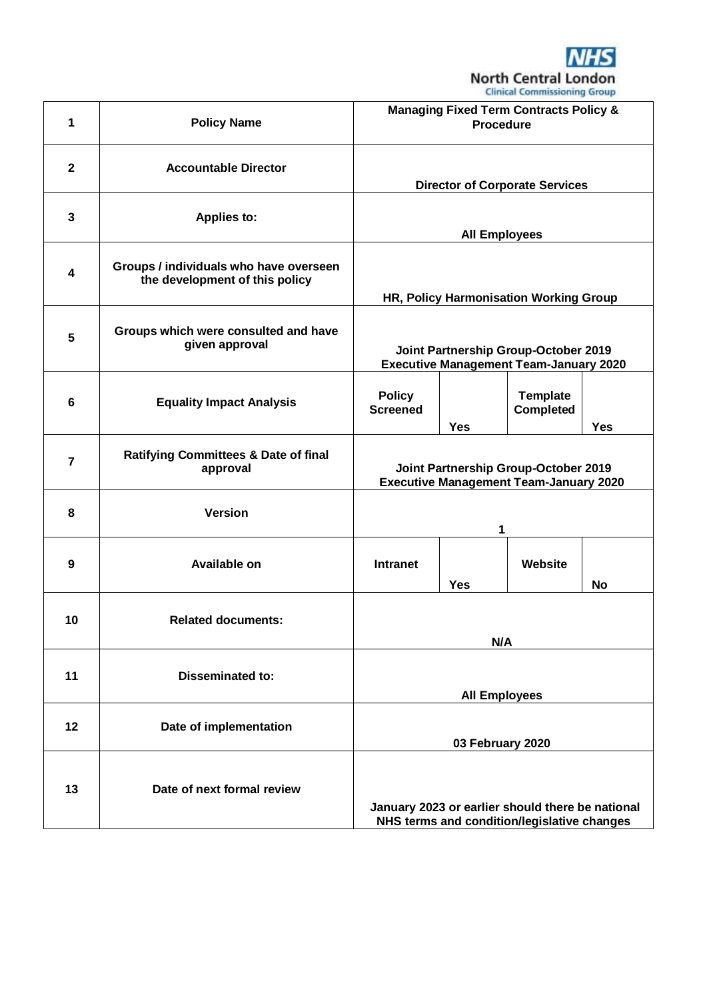

|                         |                                                                          |                                                                                                 |            | Christal Commissioning Group        |            |
|-------------------------|--------------------------------------------------------------------------|-------------------------------------------------------------------------------------------------|------------|-------------------------------------|------------|
| 1                       | <b>Policy Name</b>                                                       | <b>Managing Fixed Term Contracts Policy &amp;</b><br><b>Procedure</b>                           |            |                                     |            |
| $\mathbf{2}$            | <b>Accountable Director</b>                                              | <b>Director of Corporate Services</b>                                                           |            |                                     |            |
| 3                       | <b>Applies to:</b>                                                       | <b>All Employees</b>                                                                            |            |                                     |            |
| $\overline{\mathbf{4}}$ | Groups / individuals who have overseen<br>the development of this policy | HR, Policy Harmonisation Working Group                                                          |            |                                     |            |
| 5                       | Groups which were consulted and have<br>given approval                   | Joint Partnership Group-October 2019<br><b>Executive Management Team-January 2020</b>           |            |                                     |            |
| 6                       | <b>Equality Impact Analysis</b>                                          | <b>Policy</b><br><b>Screened</b>                                                                | <b>Yes</b> | <b>Template</b><br><b>Completed</b> | <b>Yes</b> |
| $\overline{7}$          | <b>Ratifying Committees &amp; Date of final</b><br>approval              | Joint Partnership Group-October 2019<br><b>Executive Management Team-January 2020</b>           |            |                                     |            |
| 8                       | <b>Version</b>                                                           | 1                                                                                               |            |                                     |            |
| 9                       | <b>Available on</b>                                                      | <b>Intranet</b>                                                                                 | <b>Yes</b> | Website                             | No         |
| 10                      | <b>Related documents:</b>                                                | N/A                                                                                             |            |                                     |            |
| 11                      | <b>Disseminated to:</b>                                                  | <b>All Employees</b>                                                                            |            |                                     |            |
| 12                      | Date of implementation                                                   | 03 February 2020                                                                                |            |                                     |            |
| 13                      | Date of next formal review                                               | January 2023 or earlier should there be national<br>NHS terms and condition/legislative changes |            |                                     |            |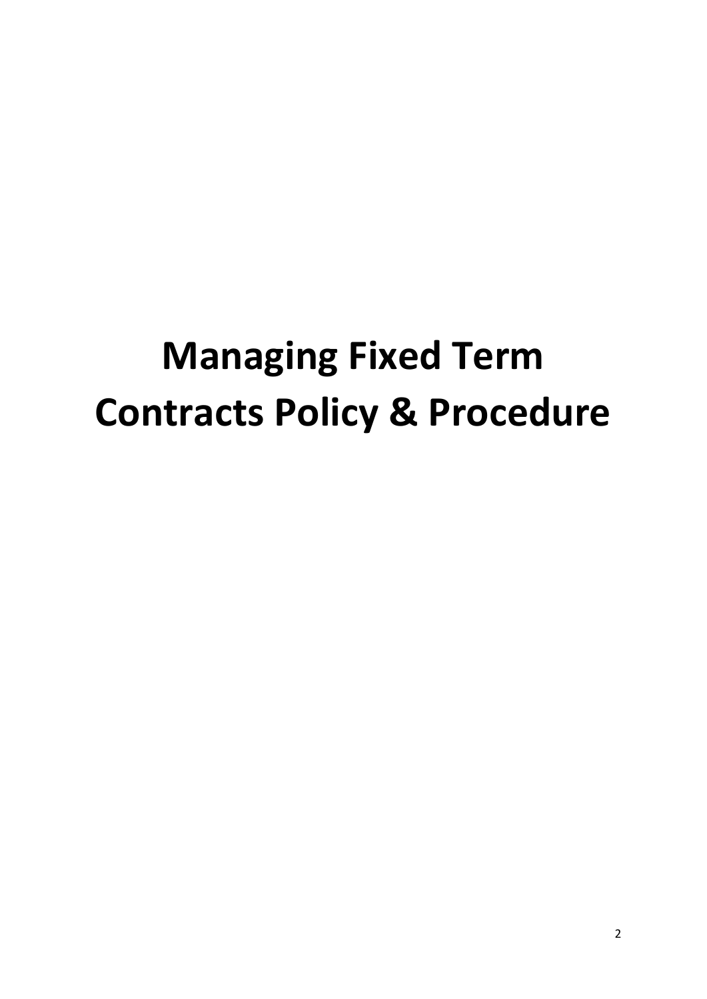# **Managing Fixed Term Contracts Policy & Procedure**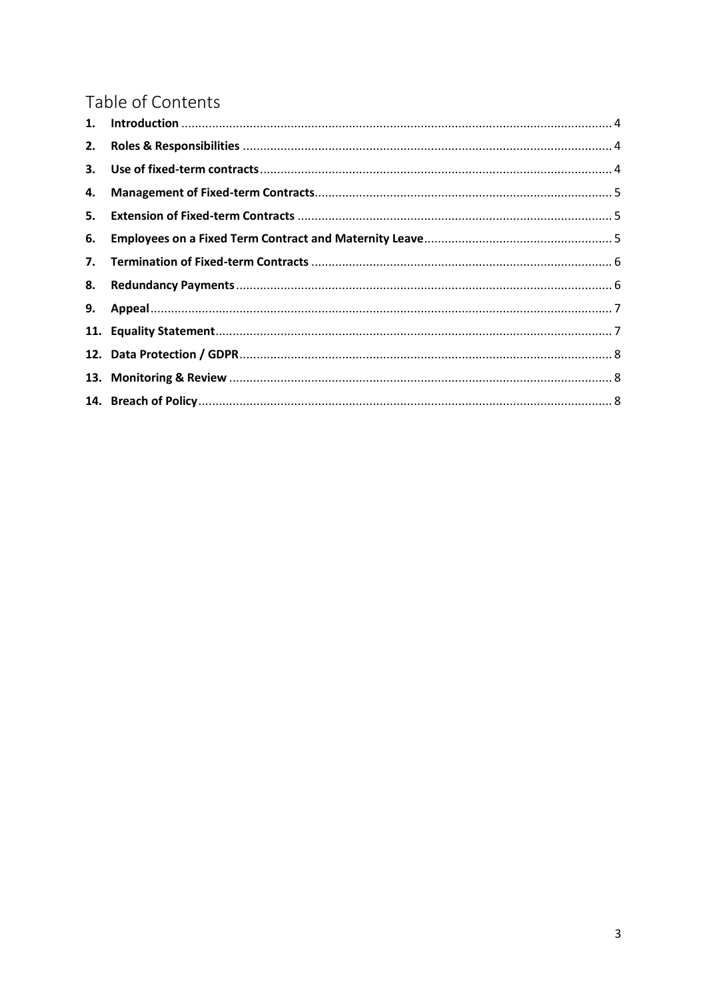# Table of Contents

| 2. |  |
|----|--|
|    |  |
| 4. |  |
| 5. |  |
| 6. |  |
|    |  |
| 8. |  |
|    |  |
|    |  |
|    |  |
|    |  |
|    |  |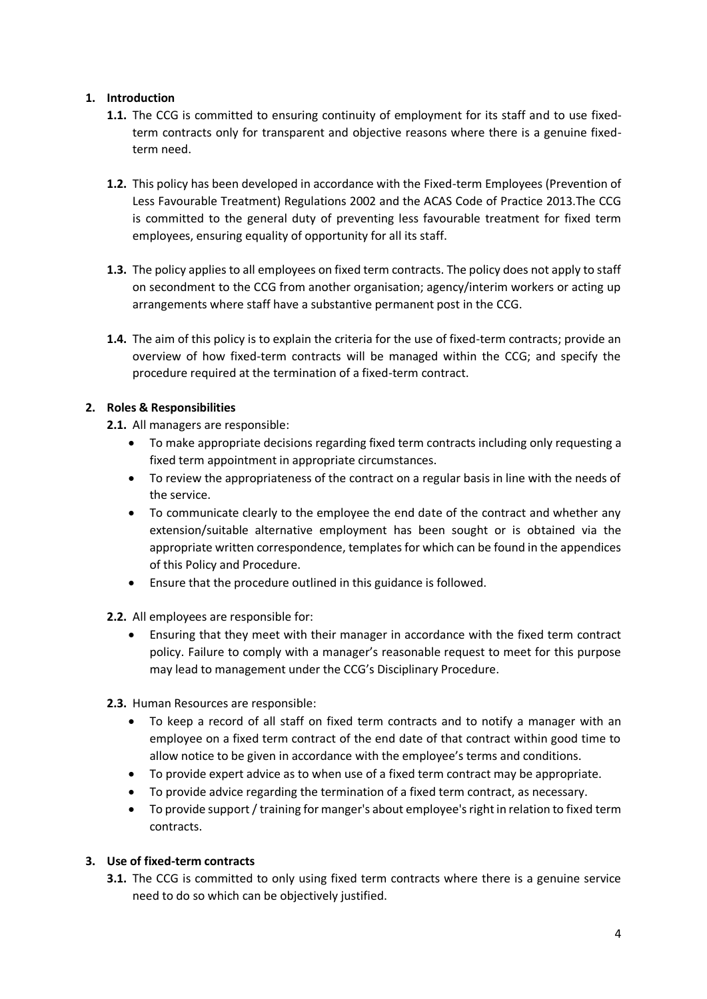# <span id="page-3-0"></span>**1. Introduction**

- **1.1.** The CCG is committed to ensuring continuity of employment for its staff and to use fixedterm contracts only for transparent and objective reasons where there is a genuine fixedterm need.
- **1.2.** This policy has been developed in accordance with the Fixed-term Employees (Prevention of Less Favourable Treatment) Regulations 2002 and the ACAS Code of Practice 2013.The CCG is committed to the general duty of preventing less favourable treatment for fixed term employees, ensuring equality of opportunity for all its staff.
- **1.3.** The policy applies to all employees on fixed term contracts. The policy does not apply to staff on secondment to the CCG from another organisation; agency/interim workers or acting up arrangements where staff have a substantive permanent post in the CCG.
- **1.4.** The aim of this policy is to explain the criteria for the use of fixed-term contracts; provide an overview of how fixed-term contracts will be managed within the CCG; and specify the procedure required at the termination of a fixed-term contract.

#### <span id="page-3-1"></span>**2. Roles & Responsibilities**

- **2.1.** All managers are responsible:
	- To make appropriate decisions regarding fixed term contracts including only requesting a fixed term appointment in appropriate circumstances.
	- To review the appropriateness of the contract on a regular basis in line with the needs of the service.
	- To communicate clearly to the employee the end date of the contract and whether any extension/suitable alternative employment has been sought or is obtained via the appropriate written correspondence, templates for which can be found in the appendices of this Policy and Procedure.
	- Ensure that the procedure outlined in this guidance is followed.
- **2.2.** All employees are responsible for:
	- Ensuring that they meet with their manager in accordance with the fixed term contract policy. Failure to comply with a manager's reasonable request to meet for this purpose may lead to management under the CCG's Disciplinary Procedure.
- **2.3.** Human Resources are responsible:
	- To keep a record of all staff on fixed term contracts and to notify a manager with an employee on a fixed term contract of the end date of that contract within good time to allow notice to be given in accordance with the employee's terms and conditions.
	- To provide expert advice as to when use of a fixed term contract may be appropriate.
	- To provide advice regarding the termination of a fixed term contract, as necessary.
	- To provide support / training for manger's about employee's right in relation to fixed term contracts.

# <span id="page-3-2"></span>**3. Use of fixed-term contracts**

**3.1.** The CCG is committed to only using fixed term contracts where there is a genuine service need to do so which can be objectively justified.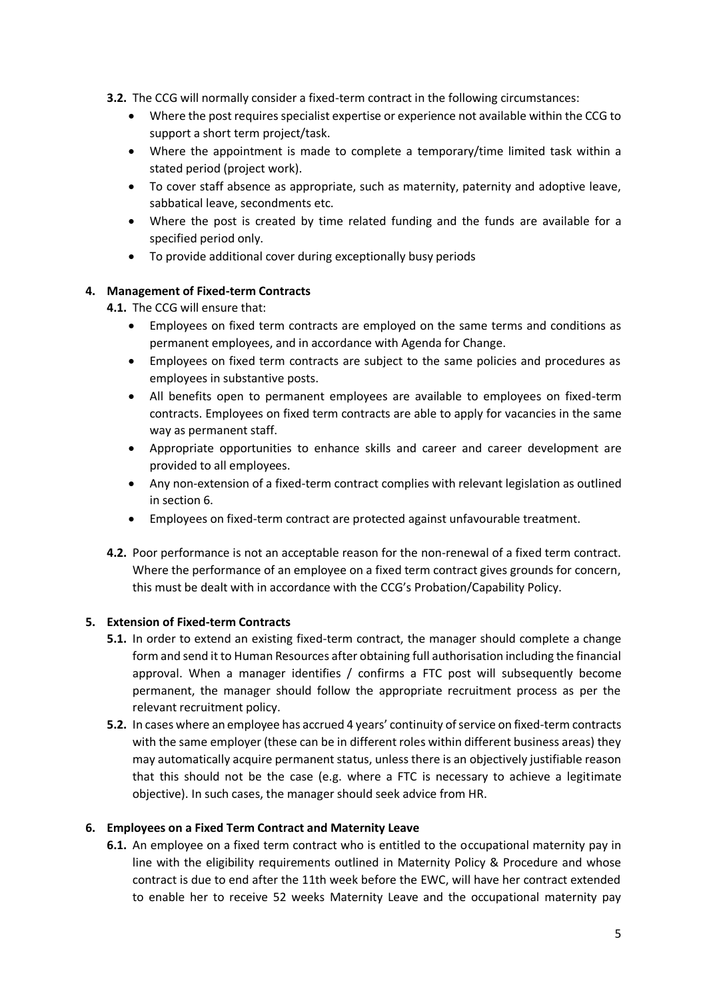- **3.2.** The CCG will normally consider a fixed-term contract in the following circumstances:
	- Where the post requires specialist expertise or experience not available within the CCG to support a short term project/task.
	- Where the appointment is made to complete a temporary/time limited task within a stated period (project work).
	- To cover staff absence as appropriate, such as maternity, paternity and adoptive leave, sabbatical leave, secondments etc.
	- Where the post is created by time related funding and the funds are available for a specified period only.
	- To provide additional cover during exceptionally busy periods

#### <span id="page-4-0"></span>**4. Management of Fixed-term Contracts**

- **4.1.** The CCG will ensure that:
	- Employees on fixed term contracts are employed on the same terms and conditions as permanent employees, and in accordance with Agenda for Change.
	- Employees on fixed term contracts are subject to the same policies and procedures as employees in substantive posts.
	- All benefits open to permanent employees are available to employees on fixed-term contracts. Employees on fixed term contracts are able to apply for vacancies in the same way as permanent staff.
	- Appropriate opportunities to enhance skills and career and career development are provided to all employees.
	- Any non-extension of a fixed-term contract complies with relevant legislation as outlined in section 6.
	- Employees on fixed-term contract are protected against unfavourable treatment.
- **4.2.** Poor performance is not an acceptable reason for the non-renewal of a fixed term contract. Where the performance of an employee on a fixed term contract gives grounds for concern, this must be dealt with in accordance with the CCG's Probation/Capability Policy.

# <span id="page-4-1"></span>**5. Extension of Fixed-term Contracts**

- **5.1.** In order to extend an existing fixed-term contract, the manager should complete a change form and send it to Human Resources after obtaining full authorisation including the financial approval. When a manager identifies / confirms a FTC post will subsequently become permanent, the manager should follow the appropriate recruitment process as per the relevant recruitment policy.
- **5.2.** In cases where an employee has accrued 4 years' continuity of service on fixed-term contracts with the same employer (these can be in different roles within different business areas) they may automatically acquire permanent status, unless there is an objectively justifiable reason that this should not be the case (e.g. where a FTC is necessary to achieve a legitimate objective). In such cases, the manager should seek advice from HR.

#### <span id="page-4-2"></span>**6. Employees on a Fixed Term Contract and Maternity Leave**

**6.1.** An employee on a fixed term contract who is entitled to the occupational maternity pay in line with the eligibility requirements outlined in Maternity Policy & Procedure and whose contract is due to end after the 11th week before the EWC, will have her contract extended to enable her to receive 52 weeks Maternity Leave and the occupational maternity pay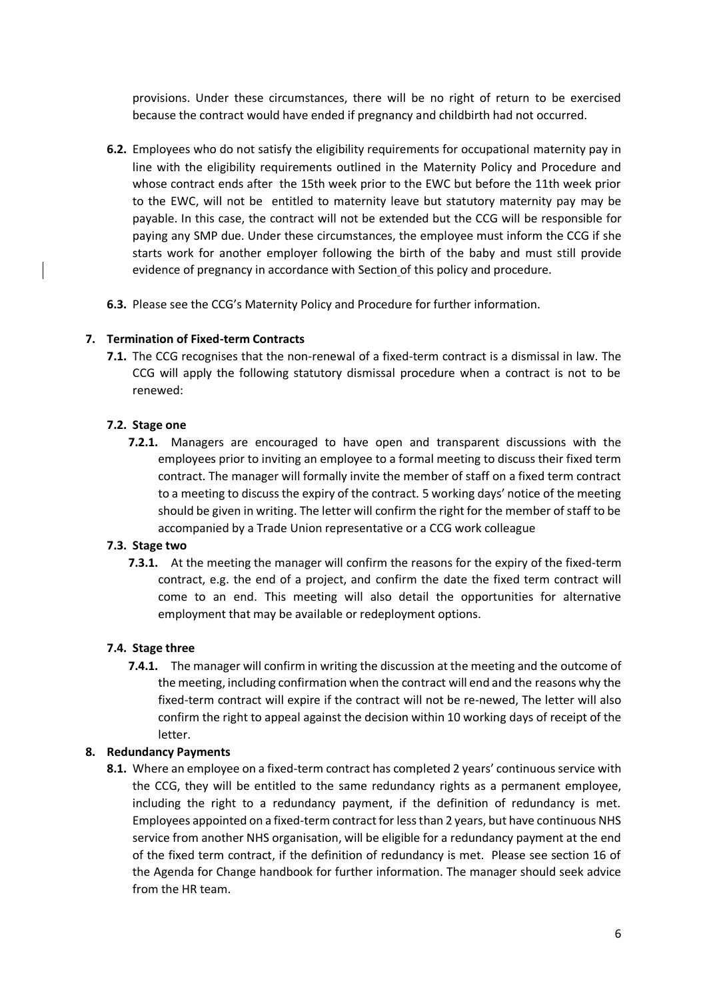provisions. Under these circumstances, there will be no right of return to be exercised because the contract would have ended if pregnancy and childbirth had not occurred.

- **6.2.** Employees who do not satisfy the eligibility requirements for occupational maternity pay in line with the eligibility requirements outlined in the Maternity Policy and Procedure and whose contract ends after the 15th week prior to the EWC but before the 11th week prior to the EWC, will not be entitled to maternity leave but statutory maternity pay may be payable. In this case, the contract will not be extended but the CCG will be responsible for paying any SMP due. Under these circumstances, the employee must inform the CCG if she starts work for another employer following the birth of the baby and must still provide evidence of pregnancy in accordance with Section of this policy and procedure.
- **6.3.** Please see the CCG's Maternity Policy and Procedure for further information.

# <span id="page-5-0"></span>**7. Termination of Fixed-term Contracts**

**7.1.** The CCG recognises that the non-renewal of a fixed-term contract is a dismissal in law. The CCG will apply the following statutory dismissal procedure when a contract is not to be renewed:

#### **7.2. Stage one**

**7.2.1.** Managers are encouraged to have open and transparent discussions with the employees prior to inviting an employee to a formal meeting to discuss their fixed term contract. The manager will formally invite the member of staff on a fixed term contract to a meeting to discuss the expiry of the contract. 5 working days' notice of the meeting should be given in writing. The letter will confirm the right for the member of staff to be accompanied by a Trade Union representative or a CCG work colleague

#### **7.3. Stage two**

**7.3.1.** At the meeting the manager will confirm the reasons for the expiry of the fixed-term contract, e.g. the end of a project, and confirm the date the fixed term contract will come to an end. This meeting will also detail the opportunities for alternative employment that may be available or redeployment options.

#### **7.4. Stage three**

**7.4.1.** The manager will confirm in writing the discussion at the meeting and the outcome of the meeting, including confirmation when the contract will end and the reasons why the fixed-term contract will expire if the contract will not be re-newed, The letter will also confirm the right to appeal against the decision within 10 working days of receipt of the letter.

#### <span id="page-5-1"></span>**8. Redundancy Payments**

**8.1.** Where an employee on a fixed-term contract has completed 2 years' continuous service with the CCG, they will be entitled to the same redundancy rights as a permanent employee, including the right to a redundancy payment, if the definition of redundancy is met. Employees appointed on a fixed-term contract for less than 2 years, but have continuous NHS service from another NHS organisation, will be eligible for a redundancy payment at the end of the fixed term contract, if the definition of redundancy is met. Please see section 16 of the Agenda for Change handbook for further information. The manager should seek advice from the HR team.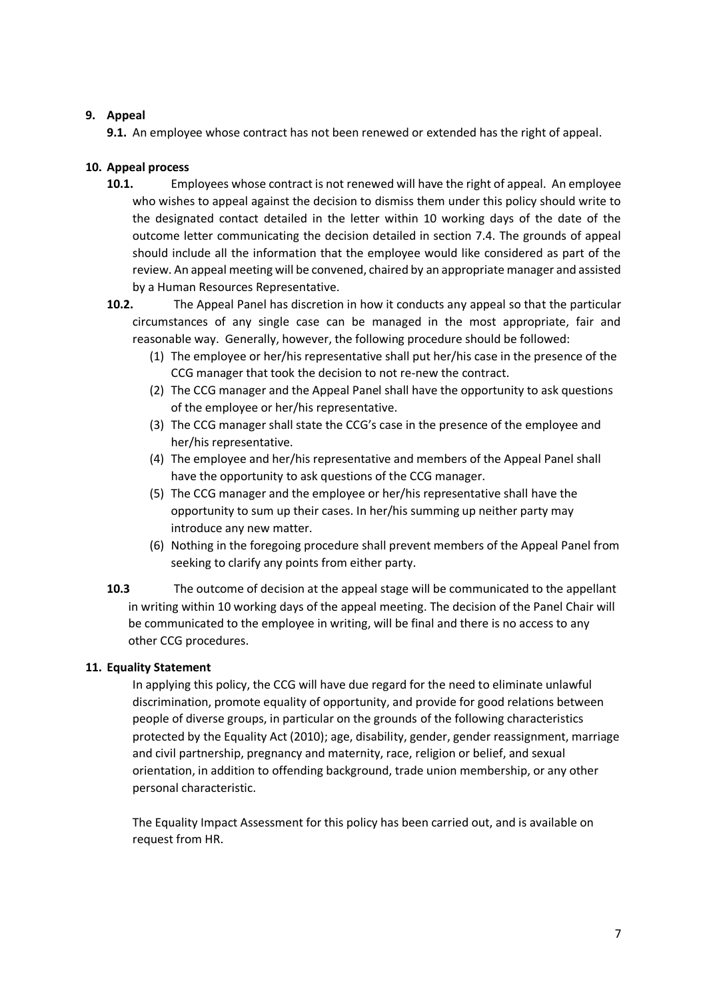# <span id="page-6-0"></span>**9. Appeal**

**9.1.** An employee whose contract has not been renewed or extended has the right of appeal.

# **10. Appeal process**

- **10.1.** Employees whose contract is not renewed will have the right of appeal. An employee who wishes to appeal against the decision to dismiss them under this policy should write to the designated contact detailed in the letter within 10 working days of the date of the outcome letter communicating the decision detailed in section 7.4. The grounds of appeal should include all the information that the employee would like considered as part of the review. An appeal meeting will be convened, chaired by an appropriate manager and assisted by a Human Resources Representative.
- **10.2.** The Appeal Panel has discretion in how it conducts any appeal so that the particular circumstances of any single case can be managed in the most appropriate, fair and reasonable way. Generally, however, the following procedure should be followed:
	- (1) The employee or her/his representative shall put her/his case in the presence of the CCG manager that took the decision to not re-new the contract.
	- (2) The CCG manager and the Appeal Panel shall have the opportunity to ask questions of the employee or her/his representative.
	- (3) The CCG manager shall state the CCG's case in the presence of the employee and her/his representative.
	- (4) The employee and her/his representative and members of the Appeal Panel shall have the opportunity to ask questions of the CCG manager.
	- (5) The CCG manager and the employee or her/his representative shall have the opportunity to sum up their cases. In her/his summing up neither party may introduce any new matter.
	- (6) Nothing in the foregoing procedure shall prevent members of the Appeal Panel from seeking to clarify any points from either party.
- **10.3** The outcome of decision at the appeal stage will be communicated to the appellant in writing within 10 working days of the appeal meeting. The decision of the Panel Chair will be communicated to the employee in writing, will be final and there is no access to any other CCG procedures.

#### <span id="page-6-1"></span>**11. Equality Statement**

In applying this policy, the CCG will have due regard for the need to eliminate unlawful discrimination, promote equality of opportunity, and provide for good relations between people of diverse groups, in particular on the grounds of the following characteristics protected by the Equality Act (2010); age, disability, gender, gender reassignment, marriage and civil partnership, pregnancy and maternity, race, religion or belief, and sexual orientation, in addition to offending background, trade union membership, or any other personal characteristic.

The Equality Impact Assessment for this policy has been carried out, and is available on request from HR.